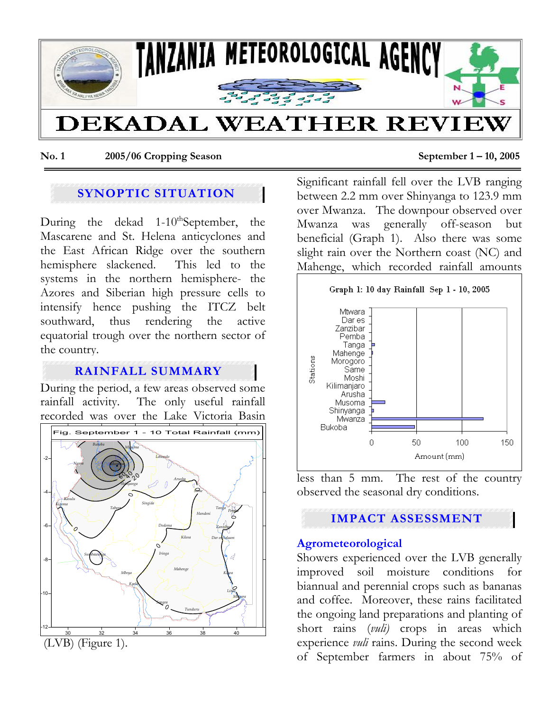

**No. 1 2005/06 Cropping Season September 1 – 10, 2005** 

# **SYNOPTIC SITUATION**

During the dekad 1-10<sup>th</sup>September, the Mascarene and St. Helena anticyclones and the East African Ridge over the southern hemisphere slackened. This led to the systems in the northern hemisphere- the Azores and Siberian high pressure cells to intensify hence pushing the ITCZ belt southward, thus rendering the active equatorial trough over the northern sector of the country.

# **RAINFALL SUMMARY**

During the period, a few areas observed some rainfall activity. The only useful rainfall recorded was over the Lake Victoria Basin



Significant rainfall fell over the LVB ranging between 2.2 mm over Shinyanga to 123.9 mm over Mwanza. The downpour observed over Mwanza was generally off-season but beneficial (Graph 1). Also there was some slight rain over the Northern coast (NC) and Mahenge, which recorded rainfall amounts



less than 5 mm. The rest of the country observed the seasonal dry conditions.

# **IMPACT ASSESSMENT**

### **Agrometeorological**

Showers experienced over the LVB generally improved soil moisture conditions for biannual and perennial crops such as bananas and coffee. Moreover, these rains facilitated the ongoing land preparations and planting of short rains (*vuli)* crops in areas which experience *vuli* rains. During the second week of September farmers in about 75% of